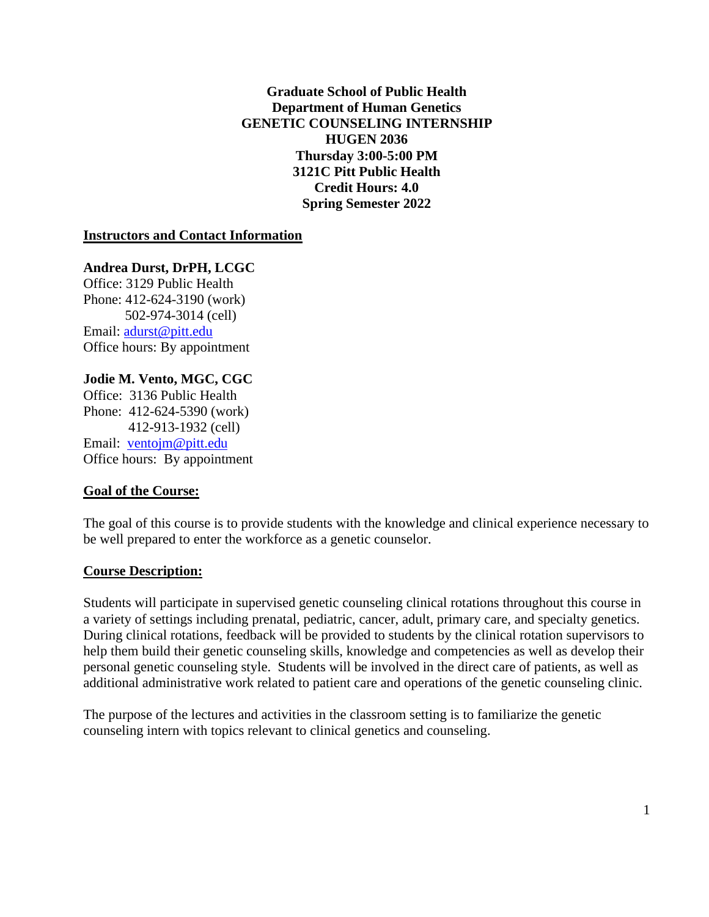**Graduate School of Public Health Department of Human Genetics GENETIC COUNSELING INTERNSHIP HUGEN 2036 Thursday 3:00-5:00 PM 3121C Pitt Public Health Credit Hours: 4.0 Spring Semester 2022**

#### **Instructors and Contact Information**

**Andrea Durst, DrPH, LCGC** Office: 3129 Public Health Phone: 412-624-3190 (work) 502-974-3014 (cell) Email: [adurst@pitt.edu](mailto:adurst@pitt.edu) Office hours: By appointment

#### **Jodie M. Vento, MGC, CGC**

Office: 3136 Public Health Phone: 412-624-5390 (work) 412-913-1932 (cell) Email: [ventojm@pitt.edu](mailto:ventojm@pitt.edu) Office hours: By appointment

#### **Goal of the Course:**

The goal of this course is to provide students with the knowledge and clinical experience necessary to be well prepared to enter the workforce as a genetic counselor.

#### **Course Description:**

Students will participate in supervised genetic counseling clinical rotations throughout this course in a variety of settings including prenatal, pediatric, cancer, adult, primary care, and specialty genetics. During clinical rotations, feedback will be provided to students by the clinical rotation supervisors to help them build their genetic counseling skills, knowledge and competencies as well as develop their personal genetic counseling style. Students will be involved in the direct care of patients, as well as additional administrative work related to patient care and operations of the genetic counseling clinic.

The purpose of the lectures and activities in the classroom setting is to familiarize the genetic counseling intern with topics relevant to clinical genetics and counseling.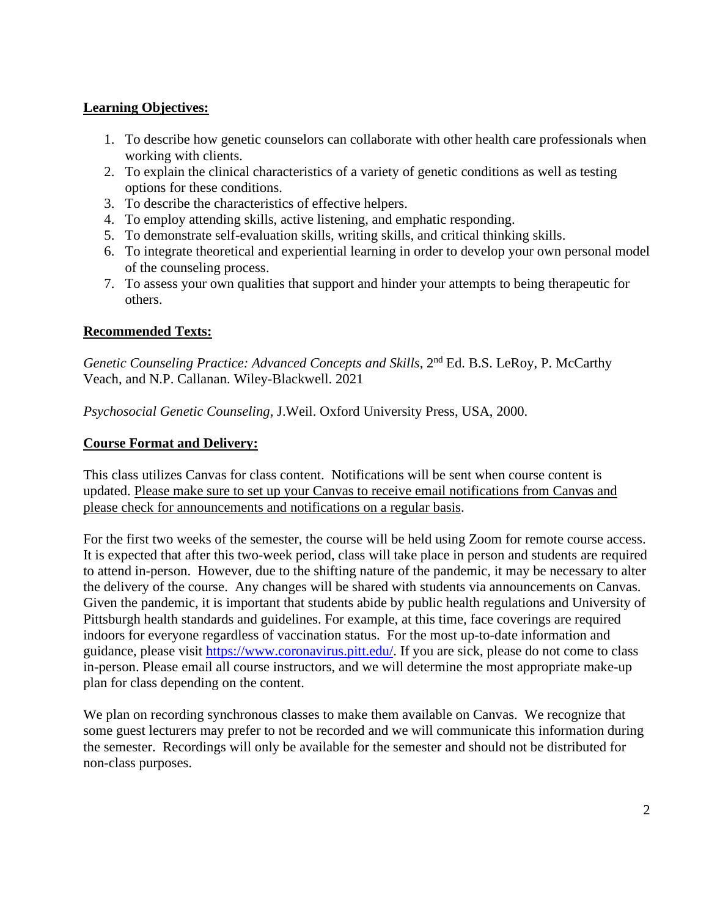### **Learning Objectives:**

- 1. To describe how genetic counselors can collaborate with other health care professionals when working with clients.
- 2. To explain the clinical characteristics of a variety of genetic conditions as well as testing options for these conditions.
- 3. To describe the characteristics of effective helpers.
- 4. To employ attending skills, active listening, and emphatic responding.
- 5. To demonstrate self-evaluation skills, writing skills, and critical thinking skills.
- 6. To integrate theoretical and experiential learning in order to develop your own personal model of the counseling process.
- 7. To assess your own qualities that support and hinder your attempts to being therapeutic for others.

### **Recommended Texts:**

*Genetic Counseling Practice: Advanced Concepts and Skills*, 2nd Ed. B.S. LeRoy, P. McCarthy Veach, and N.P. Callanan. Wiley-Blackwell. 2021

*Psychosocial Genetic Counseling,* J.Weil. Oxford University Press, USA, 2000.

#### **Course Format and Delivery:**

This class utilizes Canvas for class content. Notifications will be sent when course content is updated. Please make sure to set up your Canvas to receive email notifications from Canvas and please check for announcements and notifications on a regular basis.

For the first two weeks of the semester, the course will be held using Zoom for remote course access. It is expected that after this two-week period, class will take place in person and students are required to attend in-person. However, due to the shifting nature of the pandemic, it may be necessary to alter the delivery of the course. Any changes will be shared with students via announcements on Canvas. Given the pandemic, it is important that students abide by public health regulations and University of Pittsburgh health standards and guidelines. For example, at this time, face coverings are required indoors for everyone regardless of vaccination status. For the most up-to-date information and guidance, please visit [https://www.coronavirus.pitt.edu/.](https://www.coronavirus.pitt.edu/) If you are sick, please do not come to class in-person. Please email all course instructors, and we will determine the most appropriate make-up plan for class depending on the content.

We plan on recording synchronous classes to make them available on Canvas. We recognize that some guest lecturers may prefer to not be recorded and we will communicate this information during the semester. Recordings will only be available for the semester and should not be distributed for non-class purposes.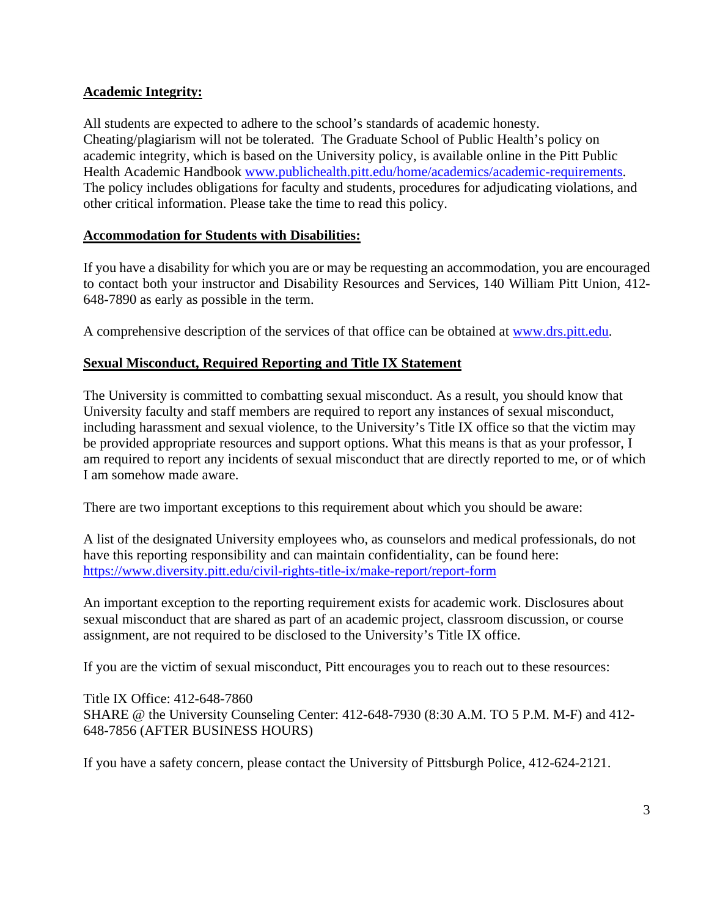#### **Academic Integrity:**

All students are expected to adhere to the school's standards of academic honesty. Cheating/plagiarism will not be tolerated. The Graduate School of Public Health's policy on academic integrity, which is based on the University policy, is available online in the Pitt Public Health Academic Handbook [www.publichealth.pitt.edu/home/academics/academic-requirements.](https://na01.safelinks.protection.outlook.com/?url=http%3A%2F%2Fwww.publichealth.pitt.edu%2Fhome%2Facademics%2Facademic-requirements&data=01%7C01%7CRobin.Leaf%40pitt.edu%7Cd2b682f8df1344a1488b08d5f7078713%7C9ef9f489e0a04eeb87cc3a526112fd0d%7C1&sdata=6ufA2nSlUetTPqxC3zE70WlE7mLMvNKznCNB7nQHwj0%3D&reserved=0) The policy includes obligations for faculty and students, procedures for adjudicating violations, and other critical information. Please take the time to read this policy.

### **Accommodation for Students with Disabilities:**

If you have a disability for which you are or may be requesting an accommodation, you are encouraged to contact both your instructor and Disability Resources and Services, 140 William Pitt Union, 412- 648-7890 as early as possible in the term.

A comprehensive description of the services of that office can be obtained at [www.drs.pitt.edu.](http://www.drs.pitt.edu/)

### **Sexual Misconduct, Required Reporting and Title IX Statement**

The University is committed to combatting sexual misconduct. As a result, you should know that University faculty and staff members are required to report any instances of sexual misconduct, including harassment and sexual violence, to the University's Title IX office so that the victim may be provided appropriate resources and support options. What this means is that as your professor, I am required to report any incidents of sexual misconduct that are directly reported to me, or of which I am somehow made aware.

There are two important exceptions to this requirement about which you should be aware:

A list of the designated University employees who, as counselors and medical professionals, do not have this reporting responsibility and can maintain confidentiality, can be found here: <https://www.diversity.pitt.edu/civil-rights-title-ix/make-report/report-form>

An important exception to the reporting requirement exists for academic work. Disclosures about sexual misconduct that are shared as part of an academic project, classroom discussion, or course assignment, are not required to be disclosed to the University's Title IX office.

If you are the victim of sexual misconduct, Pitt encourages you to reach out to these resources:

Title IX Office: 412-648-7860 SHARE @ the University Counseling Center: 412-648-7930 (8:30 A.M. TO 5 P.M. M-F) and 412- 648-7856 (AFTER BUSINESS HOURS)

If you have a safety concern, please contact the University of Pittsburgh Police, 412-624-2121.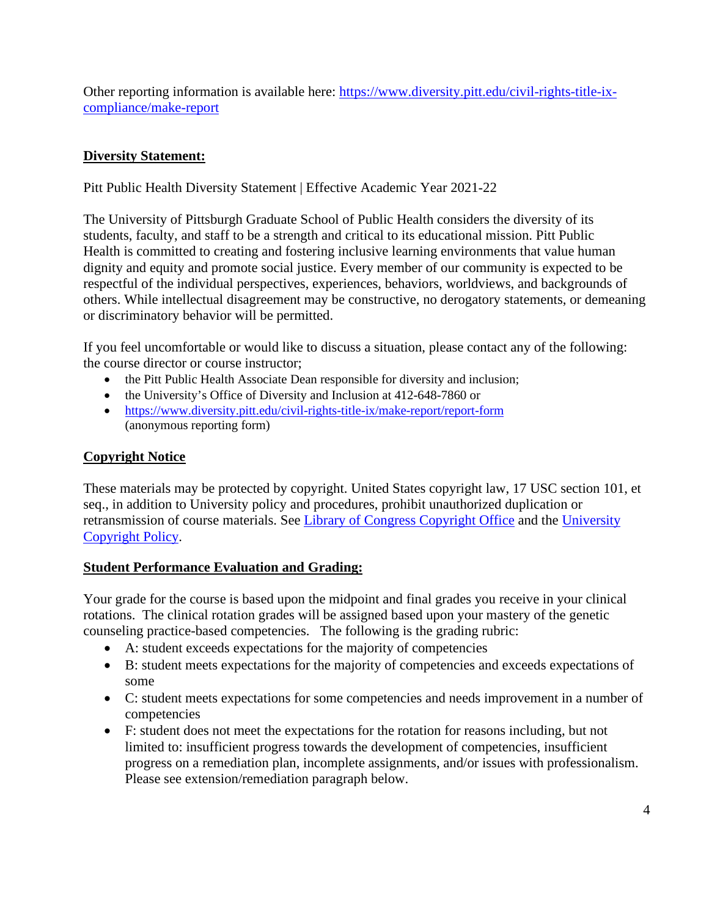Other reporting information is available here: [https://www.diversity.pitt.edu/civil-rights-title-ix](https://www.diversity.pitt.edu/civil-rights-title-ix-compliance/make-report)[compliance/make-report](https://www.diversity.pitt.edu/civil-rights-title-ix-compliance/make-report)

# **Diversity Statement:**

Pitt Public Health Diversity Statement | Effective Academic Year 2021‐22

The University of Pittsburgh Graduate School of Public Health considers the diversity of its students, faculty, and staff to be a strength and critical to its educational mission. Pitt Public Health is committed to creating and fostering inclusive learning environments that value human dignity and equity and promote social justice. Every member of our community is expected to be respectful of the individual perspectives, experiences, behaviors, worldviews, and backgrounds of others. While intellectual disagreement may be constructive, no derogatory statements, or demeaning or discriminatory behavior will be permitted.

If you feel uncomfortable or would like to discuss a situation, please contact any of the following: the course director or course instructor;

- the Pitt Public Health Associate Dean responsible for diversity and inclusion;
- the University's Office of Diversity and Inclusion at 412-648-7860 or
- <https://www.diversity.pitt.edu/civil-rights-title-ix/make-report/report-form> (anonymous reporting form)

# **Copyright Notice**

These materials may be protected by copyright. United States copyright law, 17 USC section 101, et seq., in addition to University policy and procedures, prohibit unauthorized duplication or retransmission of course materials. See [Library of Congress Copyright Office](http://www.copyright.gov/) and the [University](https://www.policy.pitt.edu/cs-03-copying-copyrighted-material-formerly-10-04-01)  [Copyright Policy.](https://www.policy.pitt.edu/cs-03-copying-copyrighted-material-formerly-10-04-01)

# **Student Performance Evaluation and Grading:**

Your grade for the course is based upon the midpoint and final grades you receive in your clinical rotations. The clinical rotation grades will be assigned based upon your mastery of the genetic counseling practice-based competencies. The following is the grading rubric:

- A: student exceeds expectations for the majority of competencies
- B: student meets expectations for the majority of competencies and exceeds expectations of some
- C: student meets expectations for some competencies and needs improvement in a number of competencies
- F: student does not meet the expectations for the rotation for reasons including, but not limited to: insufficient progress towards the development of competencies, insufficient progress on a remediation plan, incomplete assignments, and/or issues with professionalism. Please see extension/remediation paragraph below.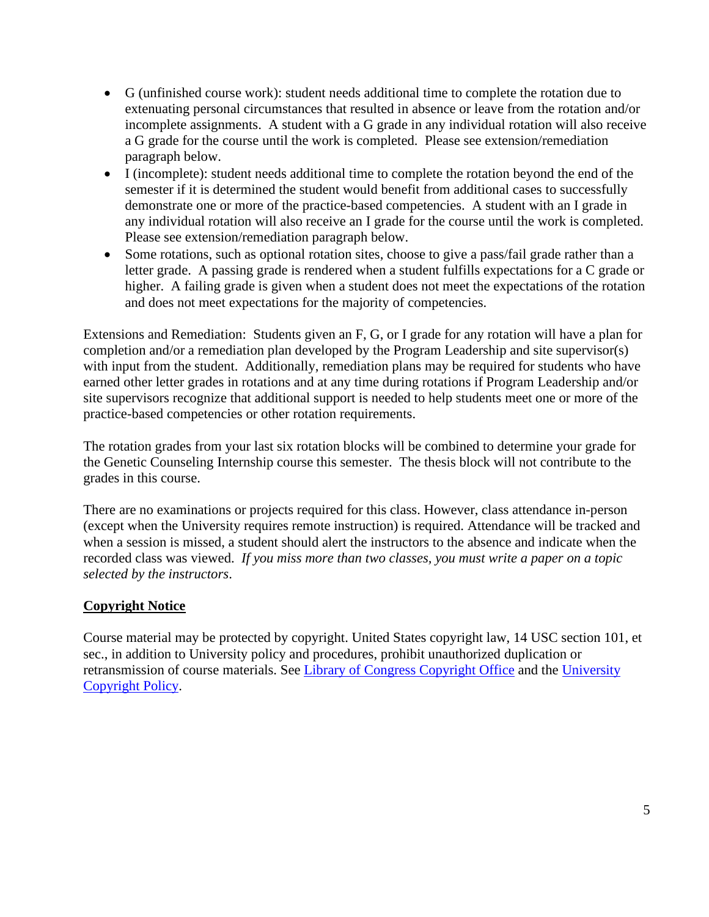- G (unfinished course work): student needs additional time to complete the rotation due to extenuating personal circumstances that resulted in absence or leave from the rotation and/or incomplete assignments. A student with a G grade in any individual rotation will also receive a G grade for the course until the work is completed. Please see extension/remediation paragraph below.
- I (incomplete): student needs additional time to complete the rotation beyond the end of the semester if it is determined the student would benefit from additional cases to successfully demonstrate one or more of the practice-based competencies. A student with an I grade in any individual rotation will also receive an I grade for the course until the work is completed. Please see extension/remediation paragraph below.
- Some rotations, such as optional rotation sites, choose to give a pass/fail grade rather than a letter grade. A passing grade is rendered when a student fulfills expectations for a C grade or higher. A failing grade is given when a student does not meet the expectations of the rotation and does not meet expectations for the majority of competencies.

Extensions and Remediation: Students given an F, G, or I grade for any rotation will have a plan for completion and/or a remediation plan developed by the Program Leadership and site supervisor(s) with input from the student. Additionally, remediation plans may be required for students who have earned other letter grades in rotations and at any time during rotations if Program Leadership and/or site supervisors recognize that additional support is needed to help students meet one or more of the practice-based competencies or other rotation requirements.

The rotation grades from your last six rotation blocks will be combined to determine your grade for the Genetic Counseling Internship course this semester. The thesis block will not contribute to the grades in this course.

There are no examinations or projects required for this class. However, class attendance in-person (except when the University requires remote instruction) is required. Attendance will be tracked and when a session is missed, a student should alert the instructors to the absence and indicate when the recorded class was viewed. *If you miss more than two classes, you must write a paper on a topic selected by the instructors*.

# **Copyright Notice**

Course material may be protected by copyright. United States copyright law, 14 USC section 101, et sec., in addition to University policy and procedures, prohibit unauthorized duplication or retransmission of course materials. See [Library of Congress Copyright Office](http://www.copyright.gov/) and the [University](http://www.cfo.pitt.edu/policies/policy/10/10-04-01.html)  [Copyright Policy.](http://www.cfo.pitt.edu/policies/policy/10/10-04-01.html)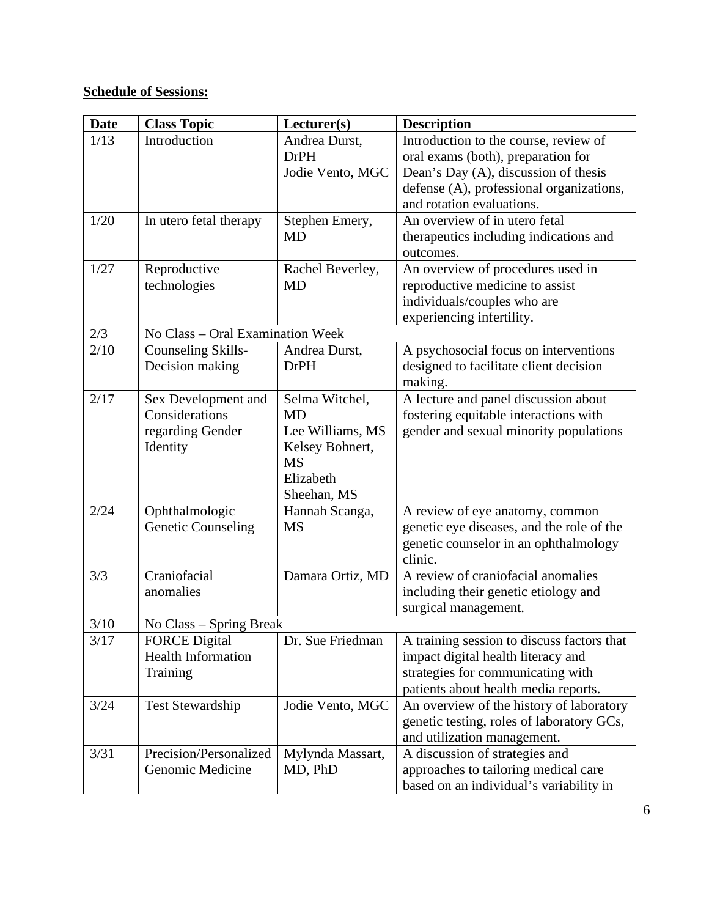# **Schedule of Sessions:**

| <b>Date</b> | <b>Class Topic</b>               | Lecturer(s)      | <b>Description</b>                         |
|-------------|----------------------------------|------------------|--------------------------------------------|
| 1/13        | Introduction                     | Andrea Durst,    | Introduction to the course, review of      |
|             |                                  | <b>DrPH</b>      | oral exams (both), preparation for         |
|             |                                  | Jodie Vento, MGC | Dean's Day (A), discussion of thesis       |
|             |                                  |                  | defense (A), professional organizations,   |
|             |                                  |                  | and rotation evaluations.                  |
| 1/20        | In utero fetal therapy           | Stephen Emery,   | An overview of in utero fetal              |
|             |                                  | <b>MD</b>        | therapeutics including indications and     |
|             |                                  |                  | outcomes.                                  |
| 1/27        | Reproductive                     | Rachel Beverley, | An overview of procedures used in          |
|             | technologies                     | <b>MD</b>        | reproductive medicine to assist            |
|             |                                  |                  | individuals/couples who are                |
|             |                                  |                  | experiencing infertility.                  |
| 2/3         | No Class - Oral Examination Week |                  |                                            |
| 2/10        | Counseling Skills-               | Andrea Durst,    | A psychosocial focus on interventions      |
|             | Decision making                  | <b>DrPH</b>      | designed to facilitate client decision     |
|             |                                  |                  | making.                                    |
| 2/17        | Sex Development and              | Selma Witchel,   | A lecture and panel discussion about       |
|             | Considerations                   | <b>MD</b>        | fostering equitable interactions with      |
|             | regarding Gender                 | Lee Williams, MS | gender and sexual minority populations     |
|             | Identity                         | Kelsey Bohnert,  |                                            |
|             |                                  | <b>MS</b>        |                                            |
|             |                                  | Elizabeth        |                                            |
|             |                                  | Sheehan, MS      |                                            |
| 2/24        | Ophthalmologic                   | Hannah Scanga,   | A review of eye anatomy, common            |
|             | <b>Genetic Counseling</b>        | <b>MS</b>        | genetic eye diseases, and the role of the  |
|             |                                  |                  | genetic counselor in an ophthalmology      |
|             |                                  |                  | clinic.                                    |
| 3/3         | Craniofacial                     | Damara Ortiz, MD | A review of craniofacial anomalies         |
|             | anomalies                        |                  | including their genetic etiology and       |
|             |                                  |                  | surgical management.                       |
| 3/10        | No Class – Spring Break          |                  |                                            |
| 3/17        | <b>FORCE</b> Digital             | Dr. Sue Friedman | A training session to discuss factors that |
|             | <b>Health Information</b>        |                  | impact digital health literacy and         |
|             | Training                         |                  | strategies for communicating with          |
|             |                                  |                  | patients about health media reports.       |
| 3/24        | <b>Test Stewardship</b>          | Jodie Vento, MGC | An overview of the history of laboratory   |
|             |                                  |                  | genetic testing, roles of laboratory GCs,  |
|             |                                  |                  | and utilization management.                |
| 3/31        | Precision/Personalized           | Mylynda Massart, | A discussion of strategies and             |
|             | Genomic Medicine                 | MD, PhD          | approaches to tailoring medical care       |
|             |                                  |                  | based on an individual's variability in    |